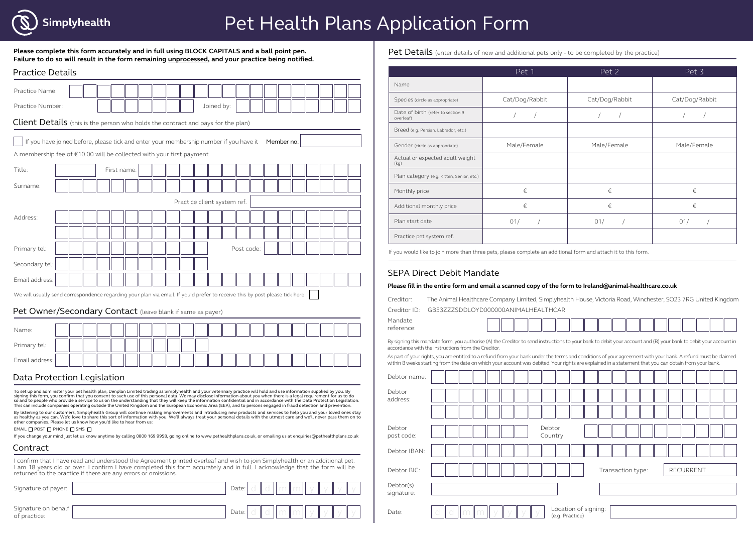

# Pet Health Plans Application Form

**Please complete this form accurately and in full using BLOCK CAPITALS and a ball point pen. Failure to do so will result in the form remaining unprocessed, and your practice being notified.**

| <b>Practice Details</b>                                                                                                                                                                                                                                                                                                                                                                                                                                                                                                        |  |             |  |  |                             |            |            |  |            |  |  |  |
|--------------------------------------------------------------------------------------------------------------------------------------------------------------------------------------------------------------------------------------------------------------------------------------------------------------------------------------------------------------------------------------------------------------------------------------------------------------------------------------------------------------------------------|--|-------------|--|--|-----------------------------|------------|------------|--|------------|--|--|--|
| Practice Name:                                                                                                                                                                                                                                                                                                                                                                                                                                                                                                                 |  |             |  |  |                             |            |            |  |            |  |  |  |
| Practice Number:                                                                                                                                                                                                                                                                                                                                                                                                                                                                                                               |  |             |  |  |                             | Joined by: |            |  |            |  |  |  |
| Client Details (this is the person who holds the contract and pays for the plan)                                                                                                                                                                                                                                                                                                                                                                                                                                               |  |             |  |  |                             |            |            |  |            |  |  |  |
| If you have joined before, please tick and enter your membership number if you have it                                                                                                                                                                                                                                                                                                                                                                                                                                         |  |             |  |  |                             |            |            |  | Member no: |  |  |  |
| A membership fee of €10.00 will be collected with your first payment.                                                                                                                                                                                                                                                                                                                                                                                                                                                          |  |             |  |  |                             |            |            |  |            |  |  |  |
| Title:                                                                                                                                                                                                                                                                                                                                                                                                                                                                                                                         |  | First name: |  |  |                             |            |            |  |            |  |  |  |
| Surname:                                                                                                                                                                                                                                                                                                                                                                                                                                                                                                                       |  |             |  |  |                             |            |            |  |            |  |  |  |
|                                                                                                                                                                                                                                                                                                                                                                                                                                                                                                                                |  |             |  |  | Practice client system ref. |            |            |  |            |  |  |  |
|                                                                                                                                                                                                                                                                                                                                                                                                                                                                                                                                |  |             |  |  |                             |            |            |  |            |  |  |  |
| Address:                                                                                                                                                                                                                                                                                                                                                                                                                                                                                                                       |  |             |  |  |                             |            |            |  |            |  |  |  |
|                                                                                                                                                                                                                                                                                                                                                                                                                                                                                                                                |  |             |  |  |                             |            |            |  |            |  |  |  |
| Primary tel:                                                                                                                                                                                                                                                                                                                                                                                                                                                                                                                   |  |             |  |  |                             |            | Post code: |  |            |  |  |  |
| Secondary tel:                                                                                                                                                                                                                                                                                                                                                                                                                                                                                                                 |  |             |  |  |                             |            |            |  |            |  |  |  |
| Email address:                                                                                                                                                                                                                                                                                                                                                                                                                                                                                                                 |  |             |  |  |                             |            |            |  |            |  |  |  |
| We will usually send correspondence regarding your plan via email. If you'd prefer to receive this by post please tick here                                                                                                                                                                                                                                                                                                                                                                                                    |  |             |  |  |                             |            |            |  |            |  |  |  |
| Pet Owner/Secondary Contact (leave blank if same as payer)                                                                                                                                                                                                                                                                                                                                                                                                                                                                     |  |             |  |  |                             |            |            |  |            |  |  |  |
|                                                                                                                                                                                                                                                                                                                                                                                                                                                                                                                                |  |             |  |  |                             |            |            |  |            |  |  |  |
| Name:                                                                                                                                                                                                                                                                                                                                                                                                                                                                                                                          |  |             |  |  |                             |            |            |  |            |  |  |  |
| Primary tel:                                                                                                                                                                                                                                                                                                                                                                                                                                                                                                                   |  |             |  |  |                             |            |            |  |            |  |  |  |
| Email address:                                                                                                                                                                                                                                                                                                                                                                                                                                                                                                                 |  |             |  |  |                             |            |            |  |            |  |  |  |
| Data Protection Legislation                                                                                                                                                                                                                                                                                                                                                                                                                                                                                                    |  |             |  |  |                             |            |            |  |            |  |  |  |
| To set up and administer your pet health plan, Denplan Limited trading as Simplyhealth and your veterinary practice will hold and use information supplied by you. By<br>signing this form, you confirm that you consent to such use of this personal data. We may disclose information about you when there is a legal requirement for us to do<br>so and to people who provide a service to us on the understanding that they will keep the information confidential and in accordance with the Data Protection Legislation. |  |             |  |  |                             |            |            |  |            |  |  |  |
| This can include companies operating outside the United Kingdom and the European Economic Area (EEA), and to persons engaged in fraud detection and prevention.<br>By listening to our customers, Simplyhealth Group will continue making improvements and introducing new products and services to help you and your loved ones stay<br>as healthy as you can. We'd love to share this sort of information with you. We'll always treat your personal details with the utmost care and we'll never pass them on to            |  |             |  |  |                             |            |            |  |            |  |  |  |
| other companies. Please let us know how you'd like to hear from us:<br>EMAIL O POST O PHONE O SMS O<br>If you change your mind just let us know anytime by calling 0800 169 9958, going online to www.pethealthplans.co.uk, or emailing us at enquiries@pethealthplans.co.uk                                                                                                                                                                                                                                                   |  |             |  |  |                             |            |            |  |            |  |  |  |
| Contract                                                                                                                                                                                                                                                                                                                                                                                                                                                                                                                       |  |             |  |  |                             |            |            |  |            |  |  |  |
| I confirm that I have read and understood the Agreement printed overleaf and wish to join Simplyhealth or an additional pet.<br>I am 18 years old or over. I confirm I have completed this form accurately and in full. I acknowledge that the form will be<br>returned to the practice if there are any errors or omissions.                                                                                                                                                                                                  |  |             |  |  |                             |            |            |  |            |  |  |  |
| Signature of payer:                                                                                                                                                                                                                                                                                                                                                                                                                                                                                                            |  |             |  |  |                             |            | Date:      |  |            |  |  |  |
| Signature on behalf<br>of practice:                                                                                                                                                                                                                                                                                                                                                                                                                                                                                            |  |             |  |  |                             |            | Date:      |  |            |  |  |  |

Pet Details (enter details of new and additional pets only - to be completed by the practice)

|                                                | Pet 1          | Pet 2          | Pet 3          |  |  |  |
|------------------------------------------------|----------------|----------------|----------------|--|--|--|
| Name                                           |                |                |                |  |  |  |
| Species (circle as appropriate)                | Cat/Dog/Rabbit | Cat/Dog/Rabbit | Cat/Dog/Rabbit |  |  |  |
| Date of birth (refer to section 9<br>overleaf) |                |                |                |  |  |  |
| Breed (e.g. Persian, Labrador, etc.)           |                |                |                |  |  |  |
| Gender (circle as appropriate)                 | Male/Female    | Male/Female    | Male/Female    |  |  |  |
| Actual or expected adult weight<br>(kg)        |                |                |                |  |  |  |
| Plan category (e.g. Kitten, Senior, etc.)      |                |                |                |  |  |  |
| Monthly price                                  | €              | €              | €              |  |  |  |
| Additional monthly price                       | €              | €              | €              |  |  |  |
| Plan start date                                | 01/            | 01/            | 01/            |  |  |  |
| Practice pet system ref.                       |                |                |                |  |  |  |

If you would like to join more than three pets, please complete an additional form and attach it to this form.

## SEPA Direct Debit Mandate

#### **Please fill in the entire form and email a scanned copy of the form to Ireland@animal-healthcare.co.uk**

Creditor: The Animal Healthcare Company Limited, Simplyhealth House, Victoria Road, Winchester, SO23 7RG United Kingdom

Creditor ID: GB53ZZZSDDLOYD000000ANIMALHEALTHCAR

Mandate reference:

By signing this mandate form, you authorise (A) the Creditor to send instructions to your bank to debit your account and (B) your bank to debit your account in accordance with the instructions from the Creditor.

As part of your rights, you are entitled to a refund from your bank under the terms and conditions of your agreement with your bank. A refund must be claimed within 8 weeks starting from the date on which your account was debited. Your rights are explained in a statement that you can obtain from your bank.

| Debtor name:            |                                         |
|-------------------------|-----------------------------------------|
| Debtor<br>address:      |                                         |
|                         |                                         |
| Debtor<br>post code:    | Debtor<br>Country:                      |
| Debtor IBAN:            |                                         |
| Debtor BIC:             | Transaction type:<br>RECURRENT          |
| Debtor(s)<br>signature: |                                         |
| Date:                   | Location of signing:<br>(e.g. Practice) |